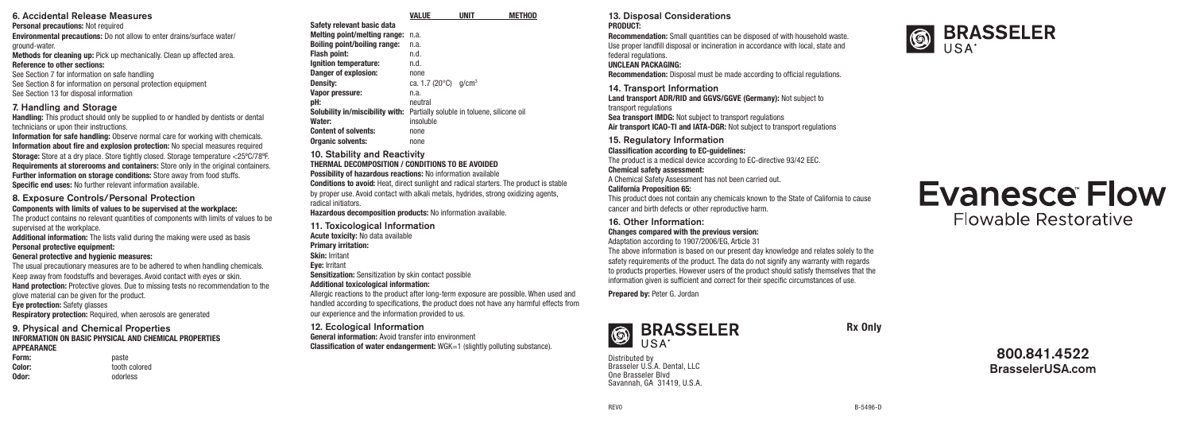# 6. Accidental Release Measures

Personal precautions: Not required

Environmental precautions: Do not allow to enter drains/surface water/ ground-water.

Methods for cleaning up: Pick up mechanically. Clean up affected area.

### Reference to other sections:

See Section 7 for information on safe handling See Section 8 for information on personal protection equipment See Section 13 for disposal information

# 7. Handling and Storage

Handling: This product should only be supplied to or handled by dentists or dental technicians or upon their instructions.

Information for safe handling: Observe normal care for working with chemicals. Information about fire and explosion protection: No special measures required Storage: Store at a dry place. Store tightly closed. Storage temperature <25ºC/78ºF. Requirements at storerooms and containers: Store only in the original containers. Further information on storage conditions: Store away from food stuffs. Specific end uses: No further relevant information available.

#### 8. Exposure Controls/Personal Protection Components with limits of values to be supervised at the workplace:

The product contains no relevant quantities of components with limits of values to be supervised at the workplace.

Additional information: The lists valid during the making were used as basis Personal protective equipment:

#### General protective and hygienic measures:

The usual precautionary measures are to be adhered to when handling chemicals. Keep away from foodstuffs and beverages. Avoid contact with eyes or skin. Hand protection: Protective gloves. Due to missing tests no recommendation to the glove material can be given for the product.

Eye protection: Safety glasses

Respiratory protection: Required, when aerosols are generated

#### 9. Physical and Chemical Properties INFORMATION ON BASIC PHYSICAL AND CHEMICAL PROPERTIES **APPFARANCF**

| Form:  | paste         |
|--------|---------------|
| Color: | tooth colored |
| Odor:  | odorless      |

| Safety relevant basic data          |                                            |
|-------------------------------------|--------------------------------------------|
| Melting point/melting range:        | n.a.                                       |
| <b>Boiling point/boiling range:</b> | n.a.                                       |
| <b>Flash point:</b>                 | n.d.                                       |
| Ignition temperature:               | n.d.                                       |
| Danger of explosion:                | none                                       |
| Density:                            | ca. 1.7 (20°C)<br>a/cm <sup>3</sup>        |
| Vapor pressure:                     | n.a.                                       |
| pH:                                 | neutral                                    |
| Solubility in/miscibility with:     | Partially soluble in toluene, silicone oil |
| Water:                              | insoluble                                  |
| <b>Content of solvents:</b>         | none                                       |
| <b>Organic solvents:</b>            | none                                       |
|                                     |                                            |

VALUE UNIT METHOD

#### 10. Stability and Reactivity THERMAL DECOMPOSITION / CONDITIONS TO BE AVOIDED Possibility of hazardous reactions: No information available Conditions to avoid: Heat, direct sunlight and radical starters. The product is stable by proper use. Avoid contact with alkali metals, hydrides, strong oxidizing agents,

radical initiators. Hazardous decomposition products: No information available.

11. Toxicological Information

Acute toxicity: No data available

Primary irritation:

Skin: Irritant

Eye: Irritant

Sensitization: Sensitization by skin contact possible

# Additional toxicological information:

Allergic reactions to the product after long-term exposure are possible. When used and handled according to specifications, the product does not have any harmful effects from our experience and the information provided to us.

# 12. Ecological Information

General information: Avoid transfer into environment Classification of water endangerment: WGK=1 (slightly polluting substance).

#### 13. Disposal Considerations PRODUCT:

Recommendation: Small quantities can be disposed of with household waste. Use proper landfill disposal or incineration in accordance with local, state and federal regulations.

### UNCLEAN PACKAGING:

Recommendation: Disposal must be made according to official regulations.

14. Transport Information

Land transport ADR/RID and GGVS/GGVE (Germany): Not subject to transport regulations Sea transport IMDG: Not subject to transport regulations

Air transport ICAO-TI and IATA-DGR: Not subject to transport regulations

15. Regulatory Information

Classification according to EC-guidelines: The product is a medical device according to EC-directive 93/42 EEC. Chemical safety assessment:

A Chemical Safety Assessment has not been carried out.

#### California Proposition 65:

This product does not contain any chemicals known to the State of California to cause cancer and birth defects or other reproductive harm.

#### 16. Other Information: Changes compared with the previous version: Adaptation according to 1907/2006/EG, Article 31

The above information is based on our present day knowledge and relates solely to the safety requirements of the product. The data do not signify any warranty with regards to products properties. However users of the product should satisfy themselves that the information given is sufficient and correct for their specific circumstances of use.

Prepared by: Peter G. Jordan



Rx Only

Distributed by Brasseler II S A Dental, LLC One Brasseler Blvd Savannah, GA 31419, U.S.A.





| 800.841.4522            |
|-------------------------|
| <b>BrasselerUSA.com</b> |